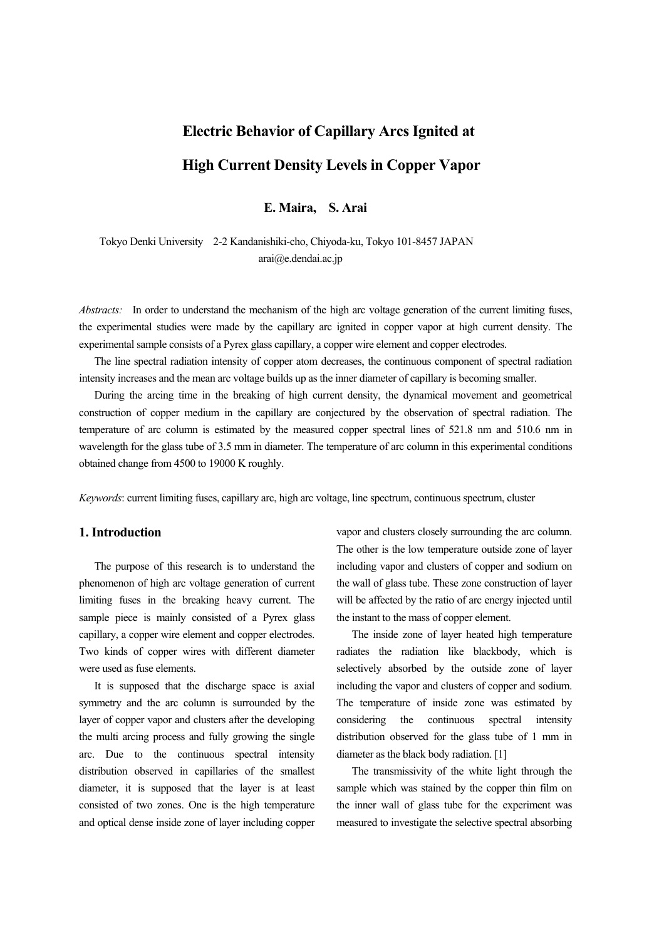# **Electric Behavior of Capillary Arcs Ignited at High Current Density Levels in Copper Vapor**

**E. Maira, S. Arai**

 Tokyo Denki University 2-2 Kandanishiki-cho, Chiyoda-ku, Tokyo 101-8457 JAPAN arai@e.dendai.ac.jp

*Abstracts:* In order to understand the mechanism of the high arc voltage generation of the current limiting fuses, the experimental studies were made by the capillary arc ignited in copper vapor at high current density. The experimental sample consists of a Pyrex glass capillary, a copper wire element and copper electrodes.

 The line spectral radiation intensity of copper atom decreases, the continuous component of spectral radiation intensity increases and the mean arc voltage builds up as the inner diameter of capillary is becoming smaller.

 During the arcing time in the breaking of high current density, the dynamical movement and geometrical construction of copper medium in the capillary are conjectured by the observation of spectral radiation. The temperature of arc column is estimated by the measured copper spectral lines of 521.8 nm and 510.6 nm in wavelength for the glass tube of 3.5 mm in diameter. The temperature of arc column in this experimental conditions obtained change from 4500 to 19000 K roughly.

*Keywords*: current limiting fuses, capillary arc, high arc voltage, line spectrum, continuous spectrum, cluster

## **1. Introduction**

 The purpose of this research is to understand the phenomenon of high arc voltage generation of current limiting fuses in the breaking heavy current. The sample piece is mainly consisted of a Pyrex glass capillary, a copper wire element and copper electrodes. Two kinds of copper wires with different diameter were used as fuse elements.

 It is supposed that the discharge space is axial symmetry and the arc column is surrounded by the layer of copper vapor and clusters after the developing the multi arcing process and fully growing the single arc. Due to the continuous spectral intensity distribution observed in capillaries of the smallest diameter, it is supposed that the layer is at least consisted of two zones. One is the high temperature and optical dense inside zone of layer including copper

vapor and clusters closely surrounding the arc column. The other is the low temperature outside zone of layer including vapor and clusters of copper and sodium on the wall of glass tube. These zone construction of layer will be affected by the ratio of arc energy injected until the instant to the mass of copper element.

 The inside zone of layer heated high temperature radiates the radiation like blackbody, which is selectively absorbed by the outside zone of layer including the vapor and clusters of copper and sodium. The temperature of inside zone was estimated by considering the continuous spectral intensity distribution observed for the glass tube of 1 mm in diameter as the black body radiation. [1]

 The transmissivity of the white light through the sample which was stained by the copper thin film on the inner wall of glass tube for the experiment was measured to investigate the selective spectral absorbing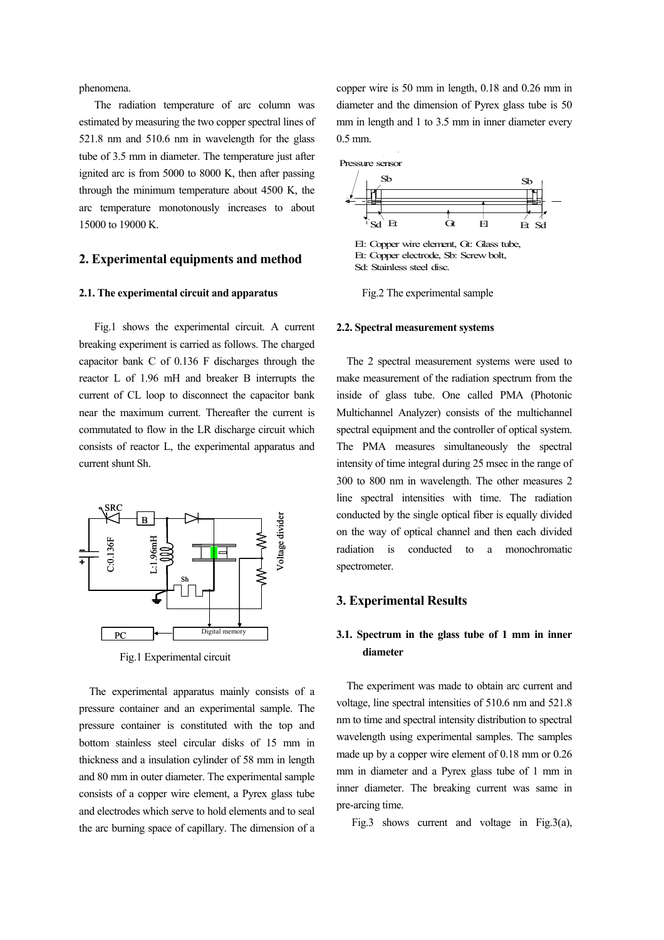phenomena.

 The radiation temperature of arc column was estimated by measuring the two copper spectral lines of 521.8 nm and 510.6 nm in wavelength for the glass tube of 3.5 mm in diameter. The temperature just after ignited arc is from 5000 to 8000 K, then after passing through the minimum temperature about 4500 K, the arc temperature monotonously increases to about 15000 to 19000 K.

## **2. Experimental equipments and method**

#### **2.1. The experimental circuit and apparatus**

 Fig.1 shows the experimental circuit. A current breaking experiment is carried as follows. The charged capacitor bank C of 0.136 F discharges through the reactor L of 1.96 mH and breaker B interrupts the current of CL loop to disconnect the capacitor bank near the maximum current. Thereafter the current is commutated to flow in the LR discharge circuit which consists of reactor L, the experimental apparatus and current shunt Sh.



Fig.1 Experimental circuit

 The experimental apparatus mainly consists of a pressure container and an experimental sample. The pressure container is constituted with the top and bottom stainless steel circular disks of 15 mm in thickness and a insulation cylinder of 58 mm in length and 80 mm in outer diameter. The experimental sample consists of a copper wire element, a Pyrex glass tube and electrodes which serve to hold elements and to seal the arc burning space of capillary. The dimension of a copper wire is 50 mm in length, 0.18 and 0.26 mm in diameter and the dimension of Pyrex glass tube is 50 mm in length and 1 to 3.5 mm in inner diameter every 0.5 mm.



El: Copper wire element, Gt: Glass tube, Et: Copper electrode, Sb: Screw bolt, Sd: Stainless steel disc.

Fig.2 The experimental sample

#### **2.2. Spectral measurement systems**

 The 2 spectral measurement systems were used to make measurement of the radiation spectrum from the inside of glass tube. One called PMA (Photonic Multichannel Analyzer) consists of the multichannel spectral equipment and the controller of optical system. The PMA measures simultaneously the spectral intensity of time integral during 25 msec in the range of 300 to 800 nm in wavelength. The other measures 2 line spectral intensities with time. The radiation conducted by the single optical fiber is equally divided on the way of optical channel and then each divided radiation is conducted to a monochromatic spectrometer.

#### **3. Experimental Results**

## **3.1. Spectrum in the glass tube of 1 mm in inner diameter**

 The experiment was made to obtain arc current and voltage, line spectral intensities of 510.6 nm and 521.8 nm to time and spectral intensity distribution to spectral wavelength using experimental samples. The samples made up by a copper wire element of 0.18 mm or 0.26 mm in diameter and a Pyrex glass tube of 1 mm in inner diameter. The breaking current was same in pre-arcing time.

Fig.3 shows current and voltage in Fig.3(a),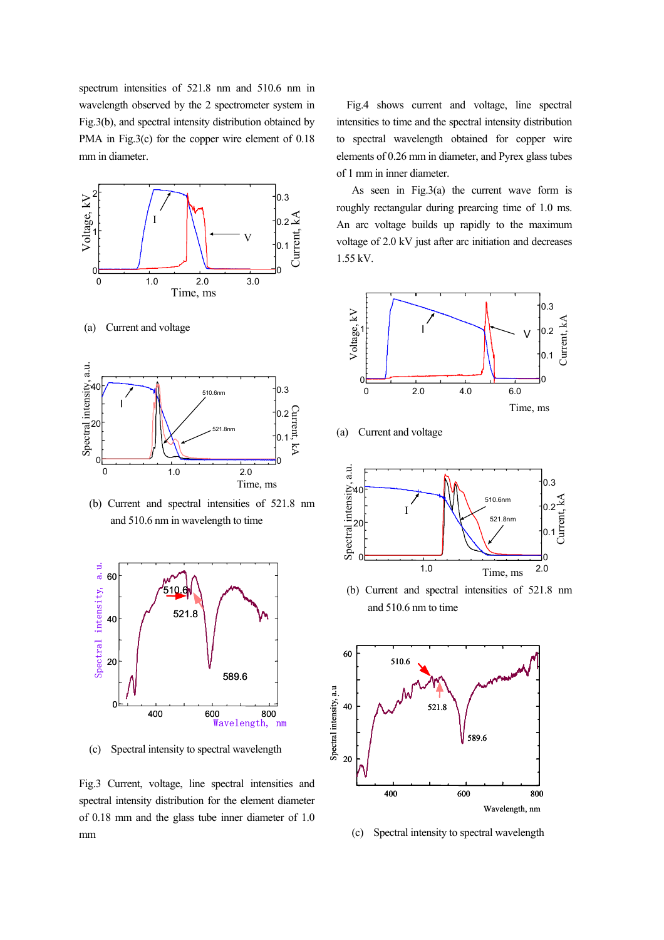spectrum intensities of 521.8 nm and 510.6 nm in wavelength observed by the 2 spectrometer system in Fig.3(b), and spectral intensity distribution obtained by PMA in Fig.3(c) for the copper wire element of 0.18 mm in diameter.



(a) Current and voltage



 (b) Current and spectral intensities of 521.8 nm and 510.6 nm in wavelength to time



(c) Spectral intensity to spectral wavelength

Fig.3 Current, voltage, line spectral intensities and spectral intensity distribution for the element diameter of 0.18 mm and the glass tube inner diameter of 1.0 mm

 Fig.4 shows current and voltage, line spectral intensities to time and the spectral intensity distribution to spectral wavelength obtained for copper wire elements of 0.26 mm in diameter, and Pyrex glass tubes of 1 mm in inner diameter.

 As seen in Fig.3(a) the current wave form is roughly rectangular during prearcing time of 1.0 ms. An arc voltage builds up rapidly to the maximum voltage of 2.0 kV just after arc initiation and decreases 1.55 kV.



(a) Current and voltage



 (b) Current and spectral intensities of 521.8 nm and 510.6 nm to time



(c) Spectral intensity to spectral wavelength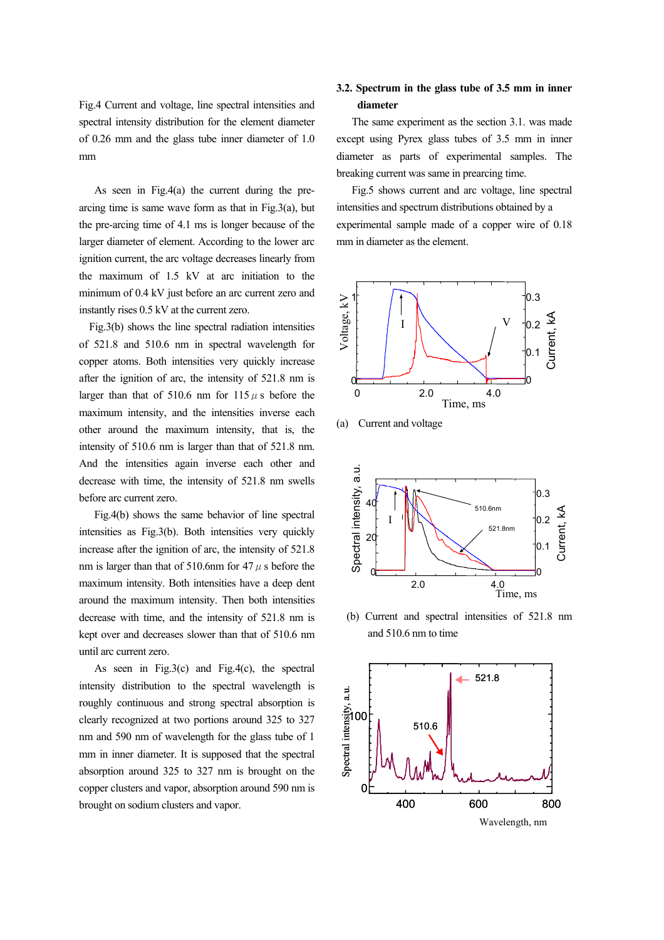Fig.4 Current and voltage, line spectral intensities and spectral intensity distribution for the element diameter of 0.26 mm and the glass tube inner diameter of 1.0 mm

 As seen in Fig.4(a) the current during the prearcing time is same wave form as that in  $Fig.3(a)$ , but the pre-arcing time of 4.1 ms is longer because of the larger diameter of element. According to the lower arc ignition current, the arc voltage decreases linearly from the maximum of 1.5 kV at arc initiation to the minimum of 0.4 kV just before an arc current zero and instantly rises 0.5 kV at the current zero.

 Fig.3(b) shows the line spectral radiation intensities of 521.8 and 510.6 nm in spectral wavelength for copper atoms. Both intensities very quickly increase after the ignition of arc, the intensity of 521.8 nm is larger than that of 510.6 nm for  $115 \mu s$  before the maximum intensity, and the intensities inverse each other around the maximum intensity, that is, the intensity of 510.6 nm is larger than that of 521.8 nm. And the intensities again inverse each other and decrease with time, the intensity of 521.8 nm swells before arc current zero.

 Fig.4(b) shows the same behavior of line spectral intensities as Fig.3(b). Both intensities very quickly increase after the ignition of arc, the intensity of 521.8 nm is larger than that of 510.6nm for 47  $\mu$  s before the maximum intensity. Both intensities have a deep dent around the maximum intensity. Then both intensities decrease with time, and the intensity of 521.8 nm is kept over and decreases slower than that of 510.6 nm until arc current zero.

As seen in Fig.3(c) and Fig.4(c), the spectral intensity distribution to the spectral wavelength is roughly continuous and strong spectral absorption is clearly recognized at two portions around 325 to 327 nm and 590 nm of wavelength for the glass tube of 1 mm in inner diameter. It is supposed that the spectral absorption around 325 to 327 nm is brought on the copper clusters and vapor, absorption around 590 nm is brought on sodium clusters and vapor.

# **3.2. Spectrum in the glass tube of 3.5 mm in inner diameter**

 The same experiment as the section 3.1. was made except using Pyrex glass tubes of 3.5 mm in inner diameter as parts of experimental samples. The breaking current was same in prearcing time.

 Fig.5 shows current and arc voltage, line spectral intensities and spectrum distributions obtained by a experimental sample made of a copper wire of 0.18 mm in diameter as the element.



(a) Current and voltage



 (b) Current and spectral intensities of 521.8 nm and 510.6 nm to time

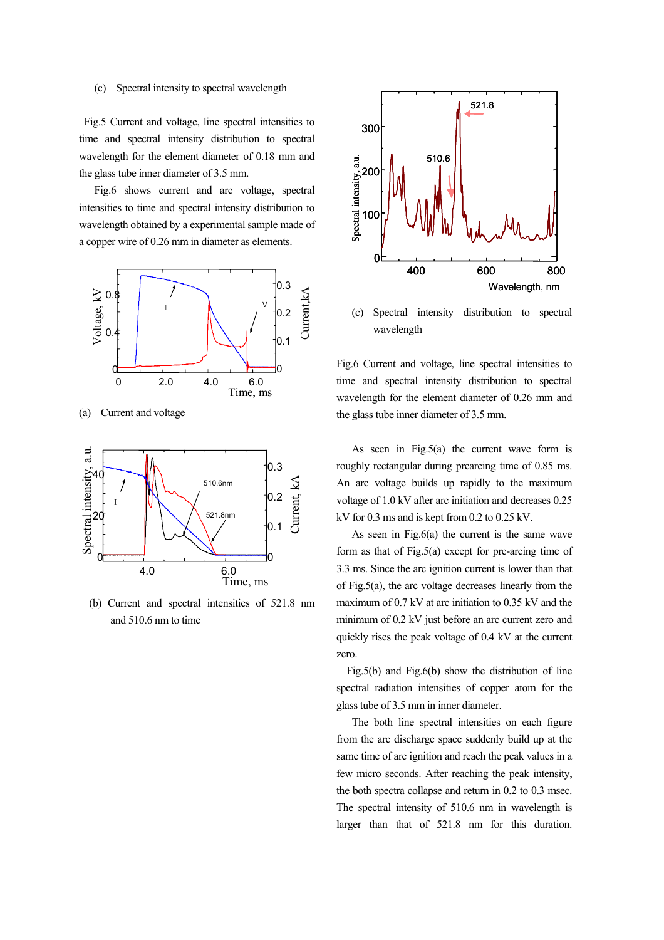#### (c) Spectral intensity to spectral wavelength

 Fig.5 Current and voltage, line spectral intensities to time and spectral intensity distribution to spectral wavelength for the element diameter of 0.18 mm and the glass tube inner diameter of 3.5 mm.

 Fig.6 shows current and arc voltage, spectral intensities to time and spectral intensity distribution to wavelength obtained by a experimental sample made of a copper wire of 0.26 mm in diameter as elements.



(a) Current and voltage



 (b) Current and spectral intensities of 521.8 nm and 510.6 nm to time



 (c) Spectral intensity distribution to spectral wavelength

Fig.6 Current and voltage, line spectral intensities to time and spectral intensity distribution to spectral wavelength for the element diameter of 0.26 mm and the glass tube inner diameter of 3.5 mm.

As seen in Fig.5(a) the current wave form is roughly rectangular during prearcing time of 0.85 ms. An arc voltage builds up rapidly to the maximum voltage of 1.0 kV after arc initiation and decreases 0.25 kV for 0.3 ms and is kept from 0.2 to 0.25 kV.

 As seen in Fig.6(a) the current is the same wave form as that of Fig.5(a) except for pre-arcing time of 3.3 ms. Since the arc ignition current is lower than that of Fig.5(a), the arc voltage decreases linearly from the maximum of 0.7 kV at arc initiation to 0.35 kV and the minimum of 0.2 kV just before an arc current zero and quickly rises the peak voltage of 0.4 kV at the current zero.

 Fig.5(b) and Fig.6(b) show the distribution of line spectral radiation intensities of copper atom for the glass tube of 3.5 mm in inner diameter.

 The both line spectral intensities on each figure from the arc discharge space suddenly build up at the same time of arc ignition and reach the peak values in a few micro seconds. After reaching the peak intensity, the both spectra collapse and return in 0.2 to 0.3 msec. The spectral intensity of 510.6 nm in wavelength is larger than that of 521.8 nm for this duration.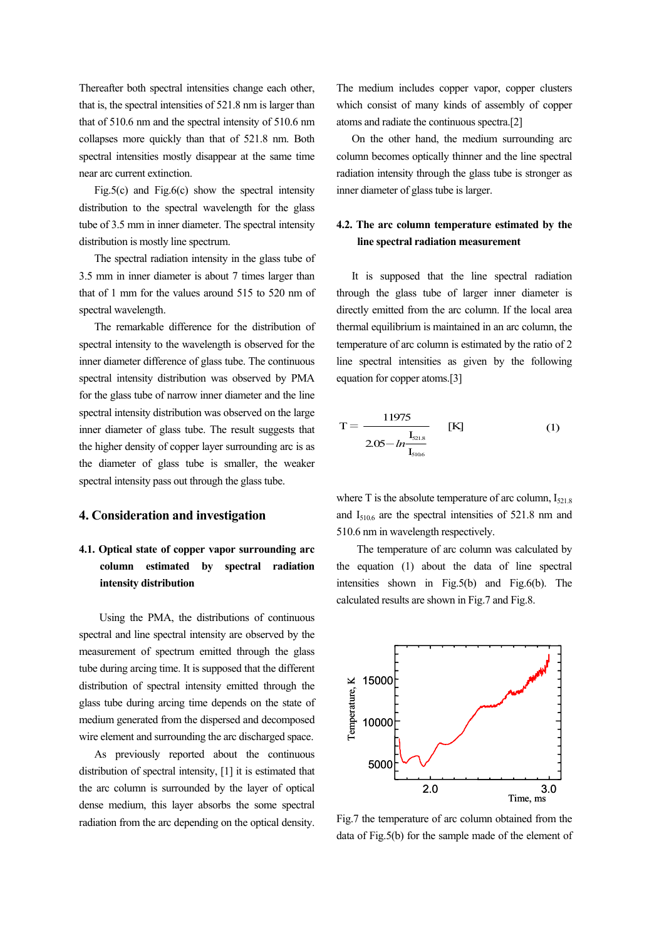Thereafter both spectral intensities change each other, that is, the spectral intensities of 521.8 nm is larger than that of 510.6 nm and the spectral intensity of 510.6 nm collapses more quickly than that of 521.8 nm. Both spectral intensities mostly disappear at the same time near arc current extinction.

Fig.5(c) and Fig.6(c) show the spectral intensity distribution to the spectral wavelength for the glass tube of 3.5 mm in inner diameter. The spectral intensity distribution is mostly line spectrum.

 The spectral radiation intensity in the glass tube of 3.5 mm in inner diameter is about 7 times larger than that of 1 mm for the values around 515 to 520 nm of spectral wavelength.

 The remarkable difference for the distribution of spectral intensity to the wavelength is observed for the inner diameter difference of glass tube. The continuous spectral intensity distribution was observed by PMA for the glass tube of narrow inner diameter and the line spectral intensity distribution was observed on the large inner diameter of glass tube. The result suggests that the higher density of copper layer surrounding arc is as the diameter of glass tube is smaller, the weaker spectral intensity pass out through the glass tube.

## **4. Consideration and investigation**

# **4.1. Optical state of copper vapor surrounding arc column estimated by spectral radiation intensity distribution**

 Using the PMA, the distributions of continuous spectral and line spectral intensity are observed by the measurement of spectrum emitted through the glass tube during arcing time. It is supposed that the different distribution of spectral intensity emitted through the glass tube during arcing time depends on the state of medium generated from the dispersed and decomposed wire element and surrounding the arc discharged space.

 As previously reported about the continuous distribution of spectral intensity, [1] it is estimated that the arc column is surrounded by the layer of optical dense medium, this layer absorbs the some spectral radiation from the arc depending on the optical density.

The medium includes copper vapor, copper clusters which consist of many kinds of assembly of copper atoms and radiate the continuous spectra.[2]

 On the other hand, the medium surrounding arc column becomes optically thinner and the line spectral radiation intensity through the glass tube is stronger as inner diameter of glass tube is larger.

# **4.2. The arc column temperature estimated by the line spectral radiation measurement**

 It is supposed that the line spectral radiation through the glass tube of larger inner diameter is directly emitted from the arc column. If the local area thermal equilibrium is maintained in an arc column, the temperature of arc column is estimated by the ratio of 2 line spectral intensities as given by the following equation for copper atoms.[3]

$$
T = \frac{11975}{2.05 - ln \frac{I_{\text{S21.8}}}{I_{\text{S106}}}}
$$
 [K] (1)

where  $T$  is the absolute temperature of arc column,  $I_{521.8}$ and  $I_{510.6}$  are the spectral intensities of 521.8 nm and 510.6 nm in wavelength respectively.

 The temperature of arc column was calculated by the equation (1) about the data of line spectral intensities shown in Fig.5(b) and Fig.6(b). The calculated results are shown in Fig.7 and Fig.8.



Fig.7 the temperature of arc column obtained from the data of Fig.5(b) for the sample made of the element of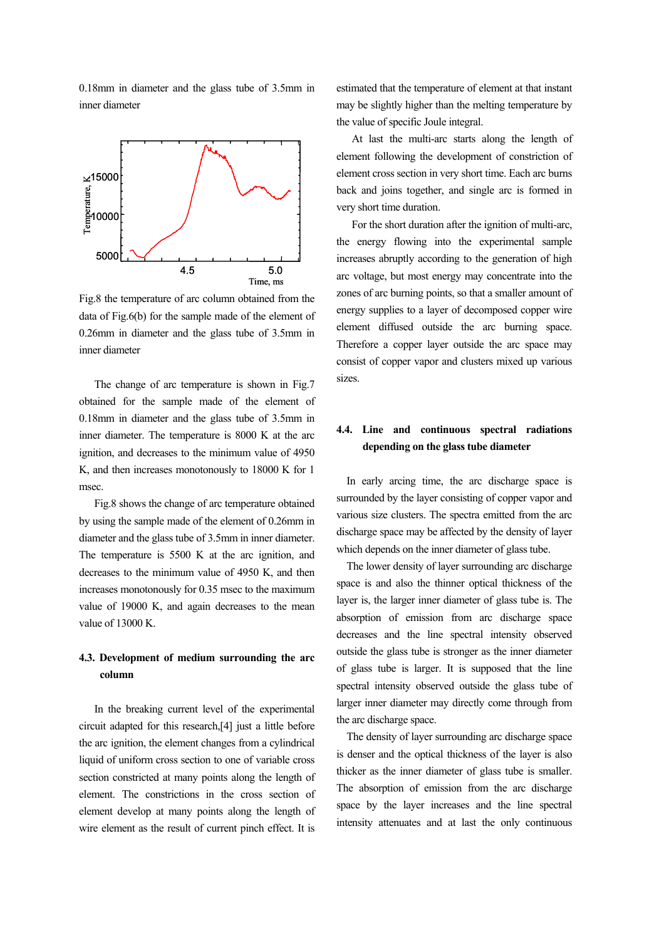0.18mm in diameter and the glass tube of 3.5mm in inner diameter



Fig.8 the temperature of arc column obtained from the data of Fig.6(b) for the sample made of the element of 0.26mm in diameter and the glass tube of 3.5mm in inner diameter

 The change of arc temperature is shown in Fig.7 obtained for the sample made of the element of 0.18mm in diameter and the glass tube of 3.5mm in inner diameter. The temperature is 8000 K at the arc ignition, and decreases to the minimum value of 4950 K, and then increases monotonously to 18000 K for 1 msec.

 Fig.8 shows the change of arc temperature obtained by using the sample made of the element of 0.26mm in diameter and the glass tube of 3.5mm in inner diameter. The temperature is 5500 K at the arc ignition, and decreases to the minimum value of 4950 K, and then increases monotonously for 0.35 msec to the maximum value of 19000 K, and again decreases to the mean value of 13000 K.

# **4.3. Development of medium surrounding the arc column**

 In the breaking current level of the experimental circuit adapted for this research,[4] just a little before the arc ignition, the element changes from a cylindrical liquid of uniform cross section to one of variable cross section constricted at many points along the length of element. The constrictions in the cross section of element develop at many points along the length of wire element as the result of current pinch effect. It is estimated that the temperature of element at that instant may be slightly higher than the melting temperature by the value of specific Joule integral.

 At last the multi-arc starts along the length of element following the development of constriction of element cross section in very short time. Each arc burns back and joins together, and single arc is formed in very short time duration.

 For the short duration after the ignition of multi-arc, the energy flowing into the experimental sample increases abruptly according to the generation of high arc voltage, but most energy may concentrate into the zones of arc burning points, so that a smaller amount of energy supplies to a layer of decomposed copper wire element diffused outside the arc burning space. Therefore a copper layer outside the arc space may consist of copper vapor and clusters mixed up various sizes.

# **4.4. Line and continuous spectral radiations depending on the glass tube diameter**

 In early arcing time, the arc discharge space is surrounded by the layer consisting of copper vapor and various size clusters. The spectra emitted from the arc discharge space may be affected by the density of layer which depends on the inner diameter of glass tube.

 The lower density of layer surrounding arc discharge space is and also the thinner optical thickness of the layer is, the larger inner diameter of glass tube is. The absorption of emission from arc discharge space decreases and the line spectral intensity observed outside the glass tube is stronger as the inner diameter of glass tube is larger. It is supposed that the line spectral intensity observed outside the glass tube of larger inner diameter may directly come through from the arc discharge space.

 The density of layer surrounding arc discharge space is denser and the optical thickness of the layer is also thicker as the inner diameter of glass tube is smaller. The absorption of emission from the arc discharge space by the layer increases and the line spectral intensity attenuates and at last the only continuous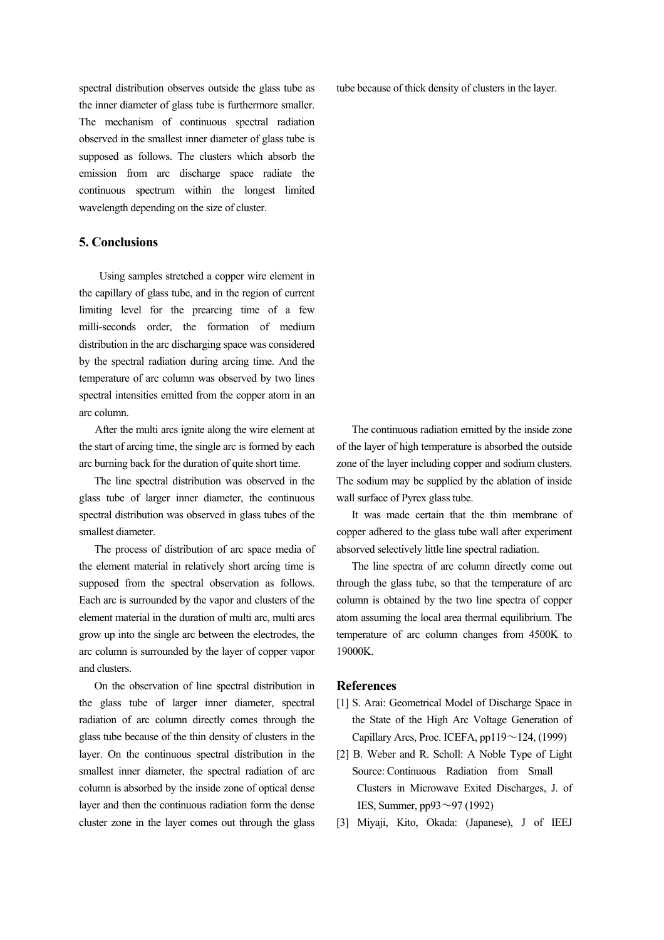spectral distribution observes outside the glass tube as the inner diameter of glass tube is furthermore smaller. The mechanism of continuous spectral radiation observed in the smallest inner diameter of glass tube is supposed as follows. The clusters which absorb the emission from arc discharge space radiate the continuous spectrum within the longest limited wavelength depending on the size of cluster.

## **5. Conclusions**

 Using samples stretched a copper wire element in the capillary of glass tube, and in the region of current limiting level for the prearcing time of a few milli-seconds order, the formation of medium distribution in the arc discharging space was considered by the spectral radiation during arcing time. And the temperature of arc column was observed by two lines spectral intensities emitted from the copper atom in an arc column.

 After the multi arcs ignite along the wire element at the start of arcing time, the single arc is formed by each arc burning back for the duration of quite short time.

 The line spectral distribution was observed in the glass tube of larger inner diameter, the continuous spectral distribution was observed in glass tubes of the smallest diameter.

 The process of distribution of arc space media of the element material in relatively short arcing time is supposed from the spectral observation as follows. Each arc is surrounded by the vapor and clusters of the element material in the duration of multi arc, multi arcs grow up into the single arc between the electrodes, the arc column is surrounded by the layer of copper vapor and clusters.

 On the observation of line spectral distribution in the glass tube of larger inner diameter, spectral radiation of arc column directly comes through the glass tube because of the thin density of clusters in the layer. On the continuous spectral distribution in the smallest inner diameter, the spectral radiation of arc column is absorbed by the inside zone of optical dense layer and then the continuous radiation form the dense cluster zone in the layer comes out through the glass tube because of thick density of clusters in the layer.

 The continuous radiation emitted by the inside zone of the layer of high temperature is absorbed the outside zone of the layer including copper and sodium clusters. The sodium may be supplied by the ablation of inside wall surface of Pyrex glass tube.

 It was made certain that the thin membrane of copper adhered to the glass tube wall after experiment absorved selectively little line spectral radiation.

 The line spectra of arc column directly come out through the glass tube, so that the temperature of arc column is obtained by the two line spectra of copper atom assuming the local area thermal equilibrium. The temperature of arc column changes from 4500K to 19000K.

#### **References**

- [1] S. Arai: Geometrical Model of Discharge Space in the State of the High Arc Voltage Generation of Capillary Arcs, Proc. ICEFA,  $pp119 \sim 124$ , (1999)
- [2] B. Weber and R. Scholl: A Noble Type of Light Source: Continuous Radiation from Small Clusters in Microwave Exited Discharges, J. of IES, Summer, pp93~97 (1992)
- [3] Miyaji, Kito, Okada: (Japanese), J of IEEJ